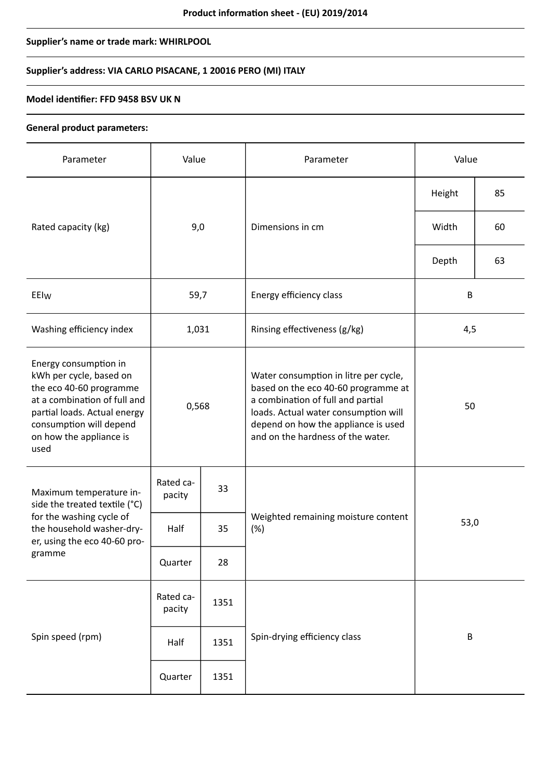# **Supplier's name or trade mark: WHIRLPOOL**

# **Supplier's address: VIA CARLO PISACANE, 1 20016 PERO (MI) ITALY**

### **Model identifier: FFD 9458 BSV UK N**

#### **General product parameters:**

| Parameter                                                                                                                                                                                                 | Value               |      | Parameter                                                                                                                                                                                                                             | Value   |    |
|-----------------------------------------------------------------------------------------------------------------------------------------------------------------------------------------------------------|---------------------|------|---------------------------------------------------------------------------------------------------------------------------------------------------------------------------------------------------------------------------------------|---------|----|
|                                                                                                                                                                                                           | 9,0                 |      | Dimensions in cm                                                                                                                                                                                                                      | Height  | 85 |
| Rated capacity (kg)                                                                                                                                                                                       |                     |      |                                                                                                                                                                                                                                       | Width   | 60 |
|                                                                                                                                                                                                           |                     |      |                                                                                                                                                                                                                                       | Depth   | 63 |
| EEIw                                                                                                                                                                                                      | 59,7                |      | Energy efficiency class                                                                                                                                                                                                               | $\sf B$ |    |
| Washing efficiency index                                                                                                                                                                                  | 1,031               |      | Rinsing effectiveness (g/kg)                                                                                                                                                                                                          | 4,5     |    |
| Energy consumption in<br>kWh per cycle, based on<br>the eco 40-60 programme<br>at a combination of full and<br>partial loads. Actual energy<br>consumption will depend<br>on how the appliance is<br>used | 0,568               |      | Water consumption in litre per cycle,<br>based on the eco 40-60 programme at<br>a combination of full and partial<br>loads. Actual water consumption will<br>depend on how the appliance is used<br>and on the hardness of the water. | 50      |    |
| Maximum temperature in-<br>side the treated textile (°C)<br>for the washing cycle of<br>the household washer-dry-<br>er, using the eco 40-60 pro-<br>gramme                                               | Rated ca-<br>pacity | 33   | Weighted remaining moisture content<br>(%)                                                                                                                                                                                            | 53,0    |    |
|                                                                                                                                                                                                           | Half                | 35   |                                                                                                                                                                                                                                       |         |    |
|                                                                                                                                                                                                           | Quarter             | 28   |                                                                                                                                                                                                                                       |         |    |
| Spin speed (rpm)                                                                                                                                                                                          | Rated ca-<br>pacity | 1351 |                                                                                                                                                                                                                                       | $\sf B$ |    |
|                                                                                                                                                                                                           | Half                | 1351 | Spin-drying efficiency class                                                                                                                                                                                                          |         |    |
|                                                                                                                                                                                                           | Quarter             | 1351 |                                                                                                                                                                                                                                       |         |    |